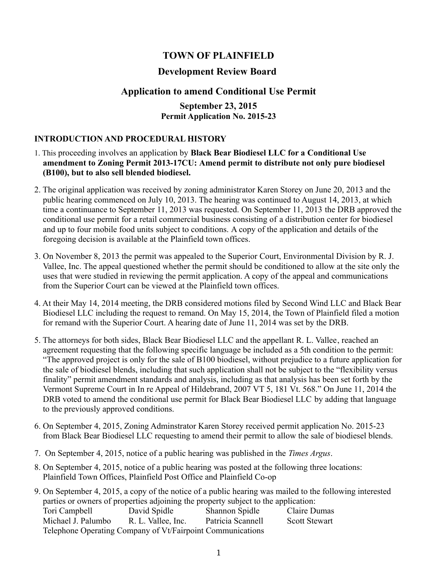# **TOWN OF PLAINFIELD**

## **Development Review Board**

## **Application to amend Conditional Use Permit**

### **September 23, 2015 Permit Application No. 2015-23**

#### **INTRODUCTION AND PROCEDURAL HISTORY**

- 1. This proceeding involves an application by **Black Bear Biodiesel LLC for a Conditional Use amendment to Zoning Permit 2013-17CU: Amend permit to distribute not only pure biodiesel (B100), but to also sell blended biodiesel.**
- 2. The original application was received by zoning administrator Karen Storey on June 20, 2013 and the public hearing commenced on July 10, 2013. The hearing was continued to August 14, 2013, at which time a continuance to September 11, 2013 was requested. On September 11, 2013 the DRB approved the conditional use permit for a retail commercial business consisting of a distribution center for biodiesel and up to four mobile food units subject to conditions. A copy of the application and details of the foregoing decision is available at the Plainfield town offices.
- 3. On November 8, 2013 the permit was appealed to the Superior Court, Environmental Division by R. J. Vallee, Inc. The appeal questioned whether the permit should be conditioned to allow at the site only the uses that were studied in reviewing the permit application. A copy of the appeal and communications from the Superior Court can be viewed at the Plainfield town offices.
- 4. At their May 14, 2014 meeting, the DRB considered motions filed by Second Wind LLC and Black Bear Biodiesel LLC including the request to remand. On May 15, 2014, the Town of Plainfield filed a motion for remand with the Superior Court. A hearing date of June 11, 2014 was set by the DRB.
- 5. The attorneys for both sides, Black Bear Biodiesel LLC and the appellant R. L. Vallee, reached an agreement requesting that the following specific language be included as a 5th condition to the permit: "The approved project is only for the sale of B100 biodiesel, without prejudice to a future application for the sale of biodiesel blends, including that such application shall not be subject to the "flexibility versus finality" permit amendment standards and analysis, including as that analysis has been set forth by the Vermont Supreme Court in In re Appeal of Hildebrand, 2007 VT 5, 181 Vt. 568." On June 11, 2014 the DRB voted to amend the conditional use permit for Black Bear Biodiesel LLC by adding that language to the previously approved conditions.
- 6. On September 4, 2015, Zoning Adminstrator Karen Storey received permit application No. 2015-23 from Black Bear Biodiesel LLC requesting to amend their permit to allow the sale of biodiesel blends.
- 7. On September 4, 2015, notice of a public hearing was published in the *Times Argus*.
- 8. On September 4, 2015, notice of a public hearing was posted at the following three locations: Plainfield Town Offices, Plainfield Post Office and Plainfield Co-op
- 9. On September 4, 2015, a copy of the notice of a public hearing was mailed to the following interested parties or owners of properties adjoining the property subject to the application: Tori Campbell David Spidle Shannon Spidle Claire Dumas Michael J. Palumbo R. L. Vallee, Inc. Patricia Scannell Scott Stewart Telephone Operating Company of Vt/Fairpoint Communications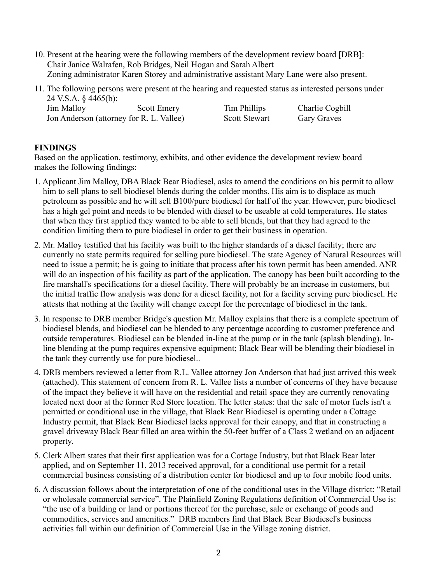- 10. Present at the hearing were the following members of the development review board [DRB]: Chair Janice Walrafen, Rob Bridges, Neil Hogan and Sarah Albert Zoning administrator Karen Storey and administrative assistant Mary Lane were also present.
- 11. The following persons were present at the hearing and requested status as interested persons under 24 V.S.A. § 4465(b): Jim Malloy Scott Emery Tim Phillips Charlie Cogbill

Jon Anderson (attorney for R. L. Vallee) Scott Stewart Gary Graves

## **FINDINGS**

Based on the application, testimony, exhibits, and other evidence the development review board makes the following findings:

- 1. Applicant Jim Malloy, DBA Black Bear Biodiesel, asks to amend the conditions on his permit to allow him to sell plans to sell biodiesel blends during the colder months. His aim is to displace as much petroleum as possible and he will sell B100/pure biodiesel for half of the year. However, pure biodiesel has a high gel point and needs to be blended with diesel to be useable at cold temperatures. He states that when they first applied they wanted to be able to sell blends, but that they had agreed to the condition limiting them to pure biodiesel in order to get their business in operation.
- 2. Mr. Malloy testified that his facility was built to the higher standards of a diesel facility; there are currently no state permits required for selling pure biodiesel. The state Agency of Natural Resources will need to issue a permit; he is going to initiate that process after his town permit has been amended. ANR will do an inspection of his facility as part of the application. The canopy has been built according to the fire marshall's specifications for a diesel facility. There will probably be an increase in customers, but the initial traffic flow analysis was done for a diesel facility, not for a facility serving pure biodiesel. He attests that nothing at the facility will change except for the percentage of biodiesel in the tank.
- 3. In response to DRB member Bridge's question Mr. Malloy explains that there is a complete spectrum of biodiesel blends, and biodiesel can be blended to any percentage according to customer preference and outside temperatures. Biodiesel can be blended in-line at the pump or in the tank (splash blending). Inline blending at the pump requires expensive equipment; Black Bear will be blending their biodiesel in the tank they currently use for pure biodiesel..
- 4. DRB members reviewed a letter from R.L. Vallee attorney Jon Anderson that had just arrived this week (attached). This statement of concern from R. L. Vallee lists a number of concerns of they have because of the impact they believe it will have on the residential and retail space they are currently renovating located next door at the former Red Store location. The letter states: that the sale of motor fuels isn't a permitted or conditional use in the village, that Black Bear Biodiesel is operating under a Cottage Industry permit, that Black Bear Biodiesel lacks approval for their canopy, and that in constructing a gravel driveway Black Bear filled an area within the 50-feet buffer of a Class 2 wetland on an adjacent property.
- 5. Clerk Albert states that their first application was for a Cottage Industry, but that Black Bear later applied, and on September 11, 2013 received approval, for a conditional use permit for a retail commercial business consisting of a distribution center for biodiesel and up to four mobile food units.
- 6. A discussion follows about the interpretation of one of the conditional uses in the Village district: "Retail or wholesale commercial service". The Plainfield Zoning Regulations definition of Commercial Use is: "the use of a building or land or portions thereof for the purchase, sale or exchange of goods and commodities, services and amenities." DRB members find that Black Bear Biodiesel's business activities fall within our definition of Commercial Use in the Village zoning district.